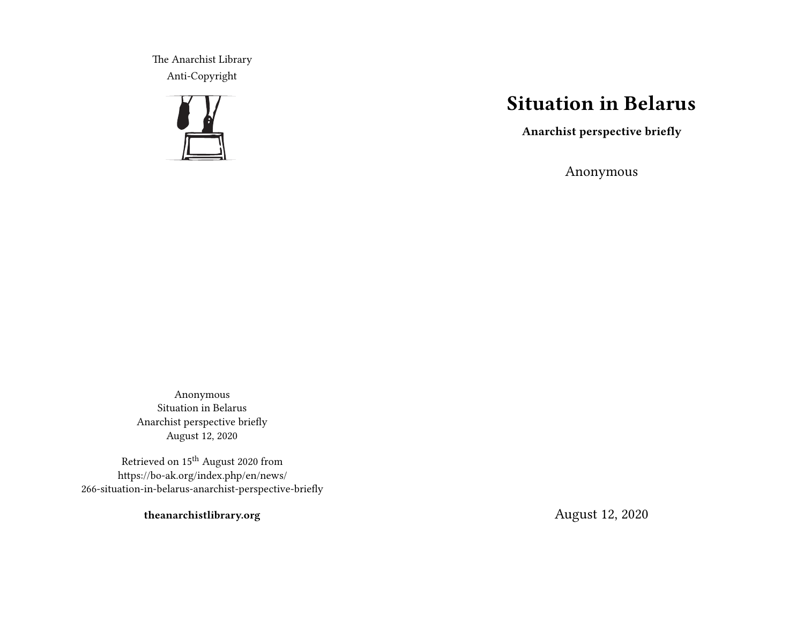The Anarchist Library Anti-Copyright



## **Situation in Belarus**

**Anarchist perspective briefly**

Anonymous

Anonymous Situation in Belarus Anarchist perspective briefly August 12, 2020

Retrieved on  $15^{\rm th}$  August 2020 from https://bo-ak.org/index.php/en/news/ 266-situation-in-belarus-anarchist-perspective-briefly

**theanarchistlibrary.org**

August 12, 2020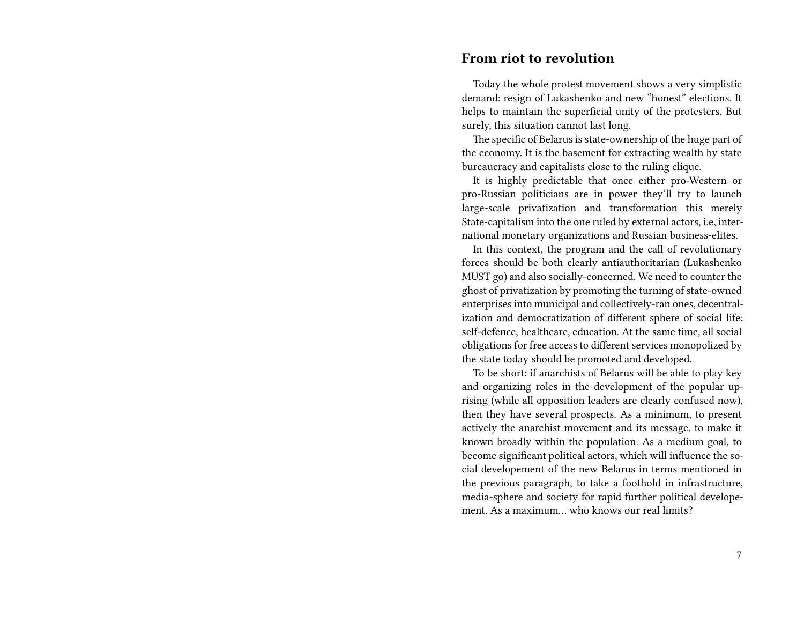## **From riot to revolution**

Today the whole protest movement shows a very simplistic demand: resign of Lukashenko and new "honest" elections. It helps to maintain the superficial unity of the protesters. But surely, this situation cannot last long.

The specific of Belarus is state-ownership of the huge part of the economy. It is the basement for extracting wealth by state bureaucracy and capitalists close to the ruling clique.

It is highly predictable that once either pro-Western or pro-Russian politicians are in power they'll try to launch large-scale privatization and transformation this merely State-capitalism into the one ruled by external actors, i.e, international monetary organizations and Russian business-elites.

In this context, the program and the call of revolutionary forces should be both clearly antiauthoritarian (Lukashenko MUST go) and also socially-concerned. We need to counter the ghost of privatization by promoting the turning of state-owned enterprises into municipal and collectively-ran ones, decentralization and democratization of different sphere of social life: self-defence, healthcare, education. At the same time, all social obligations for free access to different services monopolized by the state today should be promoted and developed.

To be short: if anarchists of Belarus will be able to play key and organizing roles in the development of the popular uprising (while all opposition leaders are clearly confused now), then they have several prospects. As a minimum, to present actively the anarchist movement and its message, to make it known broadly within the population. As a medium goal, to become significant political actors, which will influence the social developement of the new Belarus in terms mentioned in the previous paragraph, to take a foothold in infrastructure, media-sphere and society for rapid further political developement. As a maximum… who knows our real limits?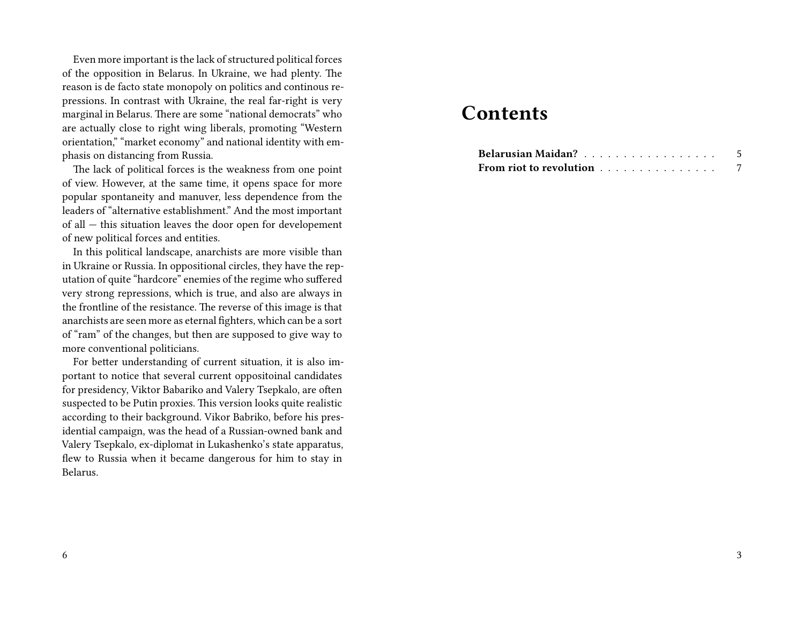Even more important is the lack of structured political forces of the opposition in Belarus. In Ukraine, we had plenty. The reason is de facto state monopoly on politics and continous repressions. In contrast with Ukraine, the real far-right is very marginal in Belarus. There are some "national democrats" who are actually close to right wing liberals, promoting "Western orientation," "market economy" and national identity with emphasis on distancing from Russia.

The lack of political forces is the weakness from one point of view. However, at the same time, it opens space for more popular spontaneity and manuver, less dependence from the leaders of "alternative establishment." And the most important of all — this situation leaves the door open for developement of new political forces and entities.

In this political landscape, anarchists are more visible than in Ukraine or Russia. In oppositional circles, they have the reputation of quite "hardcore" enemies of the regime who suffered very strong repressions, which is true, and also are always in the frontline of the resistance. The reverse of this image is that anarchists are seen more as eternal fighters, which can be a sort of "ram" of the changes, but then are supposed to give way to more conventional politicians.

For better understanding of current situation, it is also important to notice that several current oppositoinal candidates for presidency, Viktor Babariko and Valery Tsepkalo, are often suspected to be Putin proxies. This version looks quite realistic according to their background. Vikor Babriko, before his presidential campaign, was the head of a Russian-owned bank and Valery Tsepkalo, ex-diplomat in Lukashenko's state apparatus, flew to Russia when it became dangerous for him to stay in Belarus.

## **Contents**

| Belarusian Maidan?      |  |  |  |  |  |  |  |  |  |
|-------------------------|--|--|--|--|--|--|--|--|--|
| From riot to revolution |  |  |  |  |  |  |  |  |  |